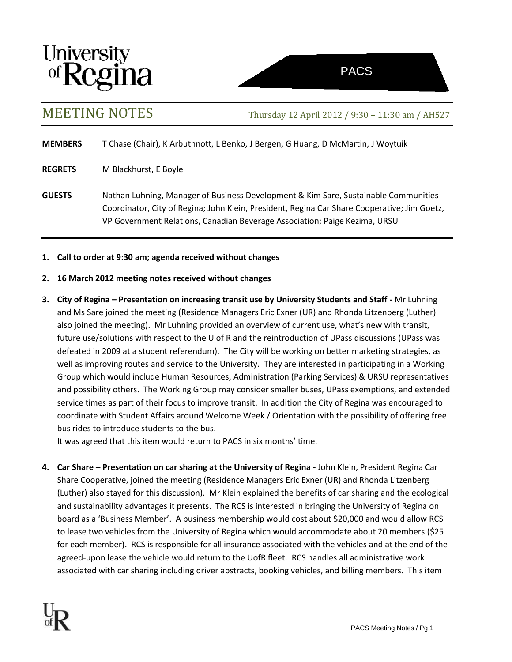



MEETING NOTES Thursday 12 April 2012 / 9:30 – 11:30 am / AH527

**MEMBERS** T Chase (Chair), K Arbuthnott, L Benko, J Bergen, G Huang, D McMartin, J Woytuik

**REGRETS** M Blackhurst, E Boyle

**GUESTS** Nathan Luhning, Manager of Business Development & Kim Sare, Sustainable Communities Coordinator, City of Regina; John Klein, President, Regina Car Share Cooperative; Jim Goetz, VP Government Relations, Canadian Beverage Association; Paige Kezima, URSU

## **1. Call to order at 9:30 am; agenda received without changes**

- **2. 16 March 2012 meeting notes received without changes**
- **3. City of Regina – Presentation on increasing transit use by University Students and Staff -** Mr Luhning and Ms Sare joined the meeting (Residence Managers Eric Exner (UR) and Rhonda Litzenberg (Luther) also joined the meeting). Mr Luhning provided an overview of current use, what's new with transit, future use/solutions with respect to the U of R and the reintroduction of UPass discussions (UPass was defeated in 2009 at a student referendum). The City will be working on better marketing strategies, as well as improving routes and service to the University. They are interested in participating in a Working Group which would include Human Resources, Administration (Parking Services) & URSU representatives and possibility others. The Working Group may consider smaller buses, UPass exemptions, and extended service times as part of their focus to improve transit. In addition the City of Regina was encouraged to coordinate with Student Affairs around Welcome Week / Orientation with the possibility of offering free bus rides to introduce students to the bus.

It was agreed that this item would return to PACS in six months' time.

**4. Car Share – Presentation on car sharing at the University of Regina -** John Klein, President Regina Car Share Cooperative, joined the meeting (Residence Managers Eric Exner (UR) and Rhonda Litzenberg (Luther) also stayed for this discussion). Mr Klein explained the benefits of car sharing and the ecological and sustainability advantages it presents. The RCS is interested in bringing the University of Regina on board as a 'Business Member'. A business membership would cost about \$20,000 and would allow RCS to lease two vehicles from the University of Regina which would accommodate about 20 members (\$25 for each member). RCS is responsible for all insurance associated with the vehicles and at the end of the agreed-upon lease the vehicle would return to the UofR fleet. RCS handles all administrative work associated with car sharing including driver abstracts, booking vehicles, and billing members. This item